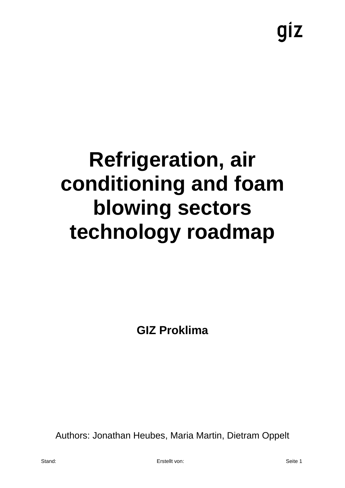giz

## **Refrigeration, air conditioning and foam blowing sectors technology roadmap**

**GIZ Proklima**

Authors: Jonathan Heubes, Maria Martin, Dietram Oppelt

Stand: Erstellt von: Seite 1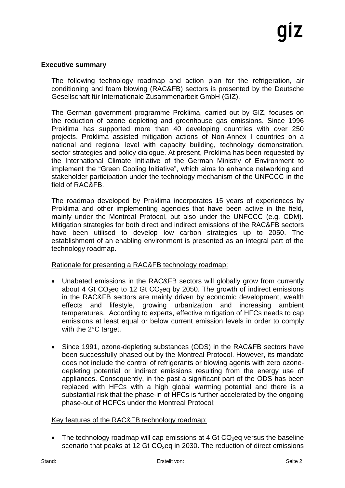### **Executive summary**

The following technology roadmap and action plan for the refrigeration, air conditioning and foam blowing (RAC&FB) sectors is presented by the Deutsche Gesellschaft für Internationale Zusammenarbeit GmbH (GIZ).

The German government programme Proklima, carried out by GIZ, focuses on the reduction of ozone depleting and greenhouse gas emissions. Since 1996 Proklima has supported more than 40 developing countries with over 250 projects. Proklima assisted mitigation actions of Non-Annex I countries on a national and regional level with capacity building, technology demonstration, sector strategies and policy dialogue. At present, Proklima has been requested by the International Climate Initiative of the German Ministry of Environment to implement the "Green Cooling Initiative", which aims to enhance networking and stakeholder participation under the technology mechanism of the UNFCCC in the field of RAC&FB.

The roadmap developed by Proklima incorporates 15 years of experiences by Proklima and other implementing agencies that have been active in the field, mainly under the Montreal Protocol, but also under the UNFCCC (e.g. CDM). Mitigation strategies for both direct and indirect emissions of the RAC&FB sectors have been utilised to develop low carbon strategies up to 2050. The establishment of an enabling environment is presented as an integral part of the technology roadmap.

Rationale for presenting a RAC&FB technology roadmap:

- Unabated emissions in the RAC&FB sectors will globally grow from currently about 4 Gt  $CO<sub>2</sub>$ eq to 12 Gt  $CO<sub>2</sub>$ eq by 2050. The growth of indirect emissions in the RAC&FB sectors are mainly driven by economic development, wealth effects and lifestyle, growing urbanization and increasing ambient temperatures. According to experts, effective mitigation of HFCs needs to cap emissions at least equal or below current emission levels in order to comply with the 2°C target.
- Since 1991, ozone-depleting substances (ODS) in the RAC&FB sectors have been successfully phased out by the Montreal Protocol. However, its mandate does not include the control of refrigerants or blowing agents with zero ozonedepleting potential or indirect emissions resulting from the energy use of appliances. Consequently, in the past a significant part of the ODS has been replaced with HFCs with a high global warming potential and there is a substantial risk that the phase-in of HFCs is further accelerated by the ongoing phase-out of HCFCs under the Montreal Protocol;

### Key features of the RAC&FB technology roadmap:

• The technology roadmap will cap emissions at 4 Gt  $CO<sub>2</sub>$ eq versus the baseline scenario that peaks at 12 Gt  $CO<sub>2</sub>$ eq in 2030. The reduction of direct emissions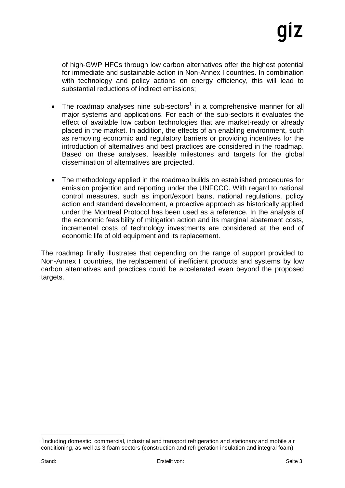of high-GWP HFCs through low carbon alternatives offer the highest potential for immediate and sustainable action in Non-Annex I countries. In combination with technology and policy actions on energy efficiency, this will lead to substantial reductions of indirect emissions;

- The roadmap analyses nine sub-sectors<sup>1</sup> in a comprehensive manner for all major systems and applications. For each of the sub-sectors it evaluates the effect of available low carbon technologies that are market-ready or already placed in the market. In addition, the effects of an enabling environment, such as removing economic and regulatory barriers or providing incentives for the introduction of alternatives and best practices are considered in the roadmap. Based on these analyses, feasible milestones and targets for the global dissemination of alternatives are projected.
- The methodology applied in the roadmap builds on established procedures for emission projection and reporting under the UNFCCC. With regard to national control measures, such as import/export bans, national regulations, policy action and standard development, a proactive approach as historically applied under the Montreal Protocol has been used as a reference. In the analysis of the economic feasibility of mitigation action and its marginal abatement costs, incremental costs of technology investments are considered at the end of economic life of old equipment and its replacement.

The roadmap finally illustrates that depending on the range of support provided to Non-Annex I countries, the replacement of inefficient products and systems by low carbon alternatives and practices could be accelerated even beyond the proposed targets.

<sup>&</sup>lt;sup>1</sup>Including domestic, commercial, industrial and transport refrigeration and stationary and mobile air conditioning, as well as 3 foam sectors (construction and refrigeration insulation and integral foam)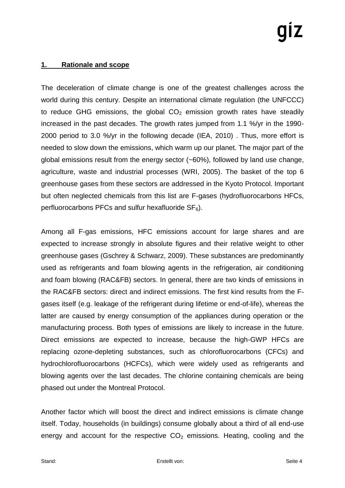### **1. Rationale and scope**

The deceleration of climate change is one of the greatest challenges across the world during this century. Despite an international climate regulation (the UNFCCC) to reduce GHG emissions, the global  $CO<sub>2</sub>$  emission growth rates have steadily increased in the past decades. The growth rates jumped from 1.1 %/yr in the 1990- 2000 period to 3.0 %/yr in the following decade (IEA, 2010) . Thus, more effort is needed to slow down the emissions, which warm up our planet. The major part of the global emissions result from the energy sector (~60%), followed by land use change, agriculture, waste and industrial processes (WRI, 2005). The basket of the top 6 greenhouse gases from these sectors are addressed in the Kyoto Protocol. Important but often neglected chemicals from this list are F-gases (hydrofluorocarbons HFCs, perfluorocarbons PFCs and sulfur hexafluoride  $SF<sub>6</sub>$ ).

Among all F-gas emissions, HFC emissions account for large shares and are expected to increase strongly in absolute figures and their relative weight to other greenhouse gases (Gschrey & Schwarz, 2009). These substances are predominantly used as refrigerants and foam blowing agents in the refrigeration, air conditioning and foam blowing (RAC&FB) sectors. In general, there are two kinds of emissions in the RAC&FB sectors: direct and indirect emissions. The first kind results from the Fgases itself (e.g. leakage of the refrigerant during lifetime or end-of-life), whereas the latter are caused by energy consumption of the appliances during operation or the manufacturing process. Both types of emissions are likely to increase in the future. Direct emissions are expected to increase, because the high-GWP HFCs are replacing ozone-depleting substances, such as chlorofluorocarbons (CFCs) and hydrochlorofluorocarbons (HCFCs), which were widely used as refrigerants and blowing agents over the last decades. The chlorine containing chemicals are being phased out under the Montreal Protocol.

Another factor which will boost the direct and indirect emissions is climate change itself. Today, households (in buildings) consume globally about a third of all end-use energy and account for the respective  $CO<sub>2</sub>$  emissions. Heating, cooling and the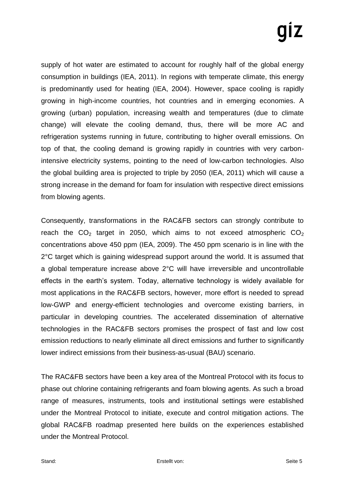supply of hot water are estimated to account for roughly half of the global energy consumption in buildings (IEA, 2011). In regions with temperate climate, this energy is predominantly used for heating (IEA, 2004). However, space cooling is rapidly growing in high-income countries, hot countries and in emerging economies. A growing (urban) population, increasing wealth and temperatures (due to climate change) will elevate the cooling demand, thus, there will be more AC and refrigeration systems running in future, contributing to higher overall emissions. On top of that, the cooling demand is growing rapidly in countries with very carbonintensive electricity systems, pointing to the need of low-carbon technologies. Also the global building area is projected to triple by 2050 (IEA, 2011) which will cause a strong increase in the demand for foam for insulation with respective direct emissions from blowing agents.

Consequently, transformations in the RAC&FB sectors can strongly contribute to reach the  $CO<sub>2</sub>$  target in 2050, which aims to not exceed atmospheric  $CO<sub>2</sub>$ concentrations above 450 ppm (IEA, 2009). The 450 ppm scenario is in line with the 2°C target which is gaining widespread support around the world. It is assumed that a global temperature increase above 2°C will have irreversible and uncontrollable effects in the earth's system. Today, alternative technology is widely available for most applications in the RAC&FB sectors, however, more effort is needed to spread low-GWP and energy-efficient technologies and overcome existing barriers, in particular in developing countries. The accelerated dissemination of alternative technologies in the RAC&FB sectors promises the prospect of fast and low cost emission reductions to nearly eliminate all direct emissions and further to significantly lower indirect emissions from their business-as-usual (BAU) scenario.

The RAC&FB sectors have been a key area of the Montreal Protocol with its focus to phase out chlorine containing refrigerants and foam blowing agents. As such a broad range of measures, instruments, tools and institutional settings were established under the Montreal Protocol to initiate, execute and control mitigation actions. The global RAC&FB roadmap presented here builds on the experiences established under the Montreal Protocol.

Stand: Erstellt von: Seite 5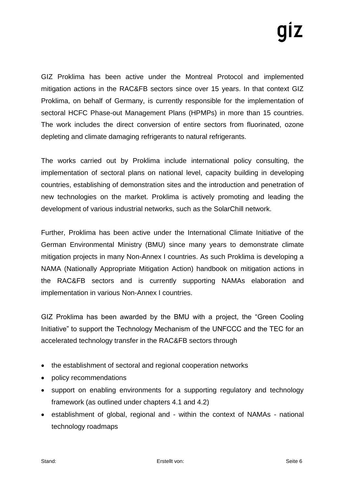GIZ Proklima has been active under the Montreal Protocol and implemented mitigation actions in the RAC&FB sectors since over 15 years. In that context GIZ Proklima, on behalf of Germany, is currently responsible for the implementation of sectoral HCFC Phase-out Management Plans (HPMPs) in more than 15 countries. The work includes the direct conversion of entire sectors from fluorinated, ozone depleting and climate damaging refrigerants to natural refrigerants.

The works carried out by Proklima include international policy consulting, the implementation of sectoral plans on national level, capacity building in developing countries, establishing of demonstration sites and the introduction and penetration of new technologies on the market. Proklima is actively promoting and leading the development of various industrial networks, such as the SolarChill network.

Further, Proklima has been active under the International Climate Initiative of the German Environmental Ministry (BMU) since many years to demonstrate climate mitigation projects in many Non-Annex I countries. As such Proklima is developing a NAMA (Nationally Appropriate Mitigation Action) handbook on mitigation actions in the RAC&FB sectors and is currently supporting NAMAs elaboration and implementation in various Non-Annex I countries.

GIZ Proklima has been awarded by the BMU with a project, the "Green Cooling Initiative" to support the Technology Mechanism of the UNFCCC and the TEC for an accelerated technology transfer in the RAC&FB sectors through

- the establishment of sectoral and regional cooperation networks
- policy recommendations
- support on enabling environments for a supporting regulatory and technology framework (as outlined under chapters 4.1 and 4.2)
- establishment of global, regional and within the context of NAMAs national technology roadmaps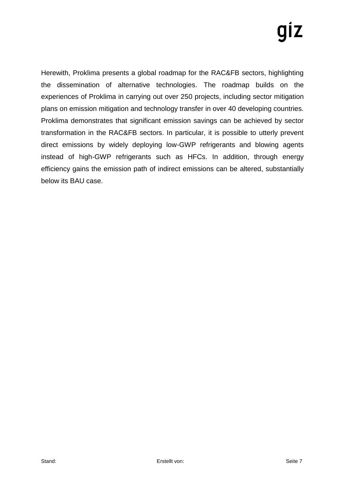# IZ

Herewith, Proklima presents a global roadmap for the RAC&FB sectors, highlighting the dissemination of alternative technologies. The roadmap builds on the experiences of Proklima in carrying out over 250 projects, including sector mitigation plans on emission mitigation and technology transfer in over 40 developing countries. Proklima demonstrates that significant emission savings can be achieved by sector transformation in the RAC&FB sectors. In particular, it is possible to utterly prevent direct emissions by widely deploying low-GWP refrigerants and blowing agents instead of high-GWP refrigerants such as HFCs. In addition, through energy efficiency gains the emission path of indirect emissions can be altered, substantially below its BAU case.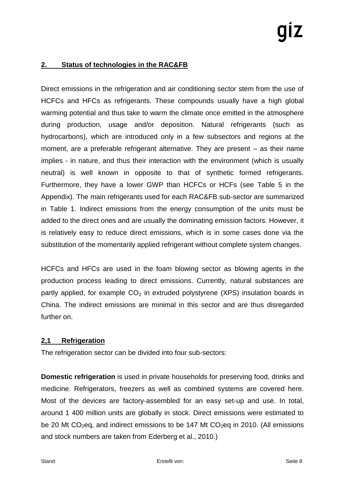### **2. Status of technologies in the RAC&FB**

Direct emissions in the refrigeration and air conditioning sector stem from the use of HCFCs and HFCs as refrigerants. These compounds usually have a high global warming potential and thus take to warm the climate once emitted in the atmosphere during production, usage and/or deposition. Natural refrigerants (such as hydrocarbons), which are introduced only in a few subsectors and regions at the moment, are a preferable refrigerant alternative. They are present – as their name implies - in nature, and thus their interaction with the environment (which is usually neutral) is well known in opposite to that of synthetic formed refrigerants. Furthermore, they have a lower GWP than HCFCs or HCFs (see Table 5 in the Appendix). The main refrigerants used for each RAC&FB sub-sector are summarized in Table 1. Indirect emissions from the energy consumption of the units must be added to the direct ones and are usually the dominating emission factors. However, it is relatively easy to reduce direct emissions, which is in some cases done via the substitution of the momentarily applied refrigerant without complete system changes.

HCFCs and HFCs are used in the foam blowing sector as blowing agents in the production process leading to direct emissions. Currently, natural substances are partly applied, for example  $CO<sub>2</sub>$  in extruded polystyrene (XPS) insulation boards in China. The indirect emissions are minimal in this sector and are thus disregarded further on.

### **2,1 Refrigeration**

The refrigeration sector can be divided into four sub-sectors:

**Domestic refrigeration** is used in private households for preserving food, drinks and medicine. Refrigerators, freezers as well as combined systems are covered here. Most of the devices are factory-assembled for an easy set-up and use. In total, around 1 400 million units are globally in stock. Direct emissions were estimated to be 20 Mt CO<sub>2</sub>eq, and indirect emissions to be 147 Mt CO<sub>2</sub>eq in 2010. (All emissions and stock numbers are taken from Ederberg et al., 2010.)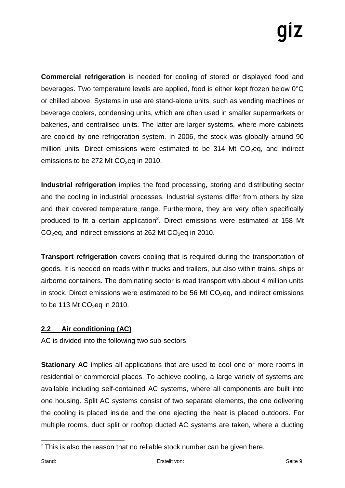**Commercial refrigeration** is needed for cooling of stored or displayed food and beverages. Two temperature levels are applied, food is either kept frozen below 0°C or chilled above. Systems in use are stand-alone units, such as vending machines or beverage coolers, condensing units, which are often used in smaller supermarkets or bakeries, and centralised units. The latter are larger systems, where more cabinets are cooled by one refrigeration system. In 2006, the stock was globally around 90 million units. Direct emissions were estimated to be 314 Mt  $CO<sub>2</sub>$ eq, and indirect emissions to be 272 Mt  $CO<sub>2</sub>$ eq in 2010.

**Industrial refrigeration** implies the food processing, storing and distributing sector and the cooling in industrial processes. Industrial systems differ from others by size and their covered temperature range. Furthermore, they are very often specifically produced to fit a certain application<sup>2</sup>. Direct emissions were estimated at 158 Mt  $CO<sub>2</sub>$ eq, and indirect emissions at 262 Mt  $CO<sub>2</sub>$ eq in 2010.

**Transport refrigeration** covers cooling that is required during the transportation of goods. It is needed on roads within trucks and trailers, but also within trains, ships or airborne containers. The dominating sector is road transport with about 4 million units in stock. Direct emissions were estimated to be 56 Mt  $CO<sub>2</sub>$ eq, and indirect emissions to be 113 Mt  $CO<sub>2</sub>$ eq in 2010.

### **2.2 Air conditioning (AC)**

AC is divided into the following two sub-sectors:

**Stationary AC** implies all applications that are used to cool one or more rooms in residential or commercial places. To achieve cooling, a large variety of systems are available including self-contained AC systems, where all components are built into one housing. Split AC systems consist of two separate elements, the one delivering the cooling is placed inside and the one ejecting the heat is placed outdoors. For multiple rooms, duct split or rooftop ducted AC systems are taken, where a ducting

 $\overline{a}$  $2$  This is also the reason that no reliable stock number can be given here.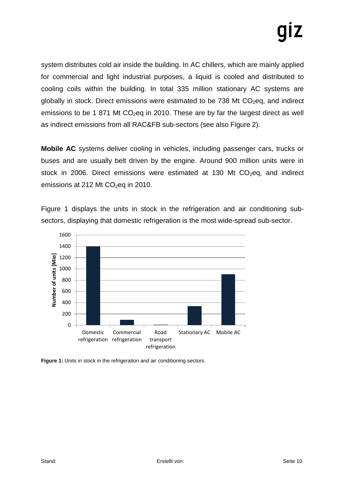system distributes cold air inside the building. In AC chillers, which are mainly applied for commercial and light industrial purposes, a liquid is cooled and distributed to cooling coils within the building. In total 335 million stationary AC systems are globally in stock. Direct emissions were estimated to be  $738$  Mt  $CO<sub>2</sub>$ eg, and indirect emissions to be 1 871 Mt  $CO<sub>2</sub>$ eq in 2010. These are by far the largest direct as well as indirect emissions from all RAC&FB sub-sectors (see also Figure 2).

**Mobile AC** systems deliver cooling in vehicles, including passenger cars, trucks or buses and are usually belt driven by the engine. Around 900 million units were in stock in 2006. Direct emissions were estimated at 130 Mt  $CO<sub>2</sub>$ eq, and indirect emissions at 212 Mt  $CO<sub>2</sub>$ eq in 2010.

Figure 1 displays the units in stock in the refrigeration and air conditioning subsectors, displaying that domestic refrigeration is the most wide-spread sub-sector.



**Figure 1:** Units in stock in the refrigeration and air conditioning sectors.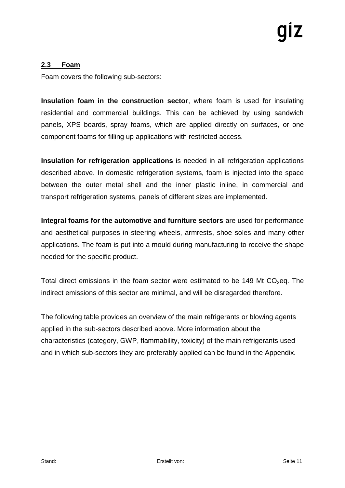### **2.3 Foam**

Foam covers the following sub-sectors:

**Insulation foam in the construction sector**, where foam is used for insulating residential and commercial buildings. This can be achieved by using sandwich panels, XPS boards, spray foams, which are applied directly on surfaces, or one component foams for filling up applications with restricted access.

**Insulation for refrigeration applications** is needed in all refrigeration applications described above. In domestic refrigeration systems, foam is injected into the space between the outer metal shell and the inner plastic inline, in commercial and transport refrigeration systems, panels of different sizes are implemented.

**Integral foams for the automotive and furniture sectors** are used for performance and aesthetical purposes in steering wheels, armrests, shoe soles and many other applications. The foam is put into a mould during manufacturing to receive the shape needed for the specific product.

Total direct emissions in the foam sector were estimated to be 149 Mt  $CO<sub>2</sub>$ eq. The indirect emissions of this sector are minimal, and will be disregarded therefore.

The following table provides an overview of the main refrigerants or blowing agents applied in the sub-sectors described above. More information about the characteristics (category, GWP, flammability, toxicity) of the main refrigerants used and in which sub-sectors they are preferably applied can be found in the Appendix.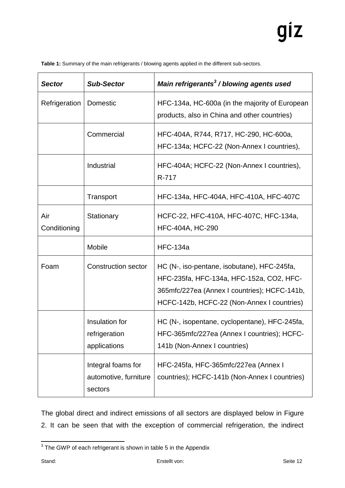|  | Table 1: Summary of the main refrigerants / blowing agents applied in the different sub-sectors. |
|--|--------------------------------------------------------------------------------------------------|
|--|--------------------------------------------------------------------------------------------------|

| <b>Sector</b>       | <b>Sub-Sector</b>                                      | Main refrigerants <sup>3</sup> / blowing agents used                                                                                                                                  |
|---------------------|--------------------------------------------------------|---------------------------------------------------------------------------------------------------------------------------------------------------------------------------------------|
| Refrigeration       | Domestic                                               | HFC-134a, HC-600a (in the majority of European<br>products, also in China and other countries)                                                                                        |
|                     | Commercial                                             | HFC-404A, R744, R717, HC-290, HC-600a,<br>HFC-134a; HCFC-22 (Non-Annex I countries),                                                                                                  |
|                     | Industrial                                             | HFC-404A; HCFC-22 (Non-Annex I countries),<br>R-717                                                                                                                                   |
|                     | Transport                                              | HFC-134a, HFC-404A, HFC-410A, HFC-407C                                                                                                                                                |
| Air<br>Conditioning | Stationary                                             | HCFC-22, HFC-410A, HFC-407C, HFC-134a,<br><b>HFC-404A, HC-290</b>                                                                                                                     |
|                     | <b>Mobile</b>                                          | <b>HFC-134a</b>                                                                                                                                                                       |
| Foam                | <b>Construction sector</b>                             | HC (N-, iso-pentane, isobutane), HFC-245fa,<br>HFC-235fa, HFC-134a, HFC-152a, CO2, HFC-<br>365mfc/227ea (Annex I countries); HCFC-141b,<br>HCFC-142b, HCFC-22 (Non-Annex I countries) |
|                     | Insulation for<br>refrigeration<br>applications        | HC (N-, isopentane, cyclopentane), HFC-245fa,<br>HFC-365mfc/227ea (Annex I countries); HCFC-<br>141b (Non-Annex I countries)                                                          |
|                     | Integral foams for<br>automotive, furniture<br>sectors | HFC-245fa, HFC-365mfc/227ea (Annex I<br>countries); HCFC-141b (Non-Annex I countries)                                                                                                 |

The global direct and indirect emissions of all sectors are displayed below in Figure 2. It can be seen that with the exception of commercial refrigeration, the indirect

 3 The GWP of each refrigerant is shown in table 5 in the Appendix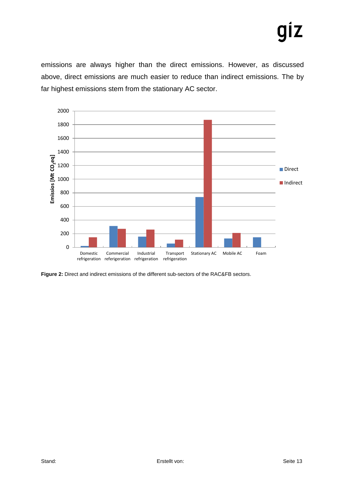# IZ

emissions are always higher than the direct emissions. However, as discussed above, direct emissions are much easier to reduce than indirect emissions. The by far highest emissions stem from the stationary AC sector.



**Figure 2:** Direct and indirect emissions of the different sub-sectors of the RAC&FB sectors.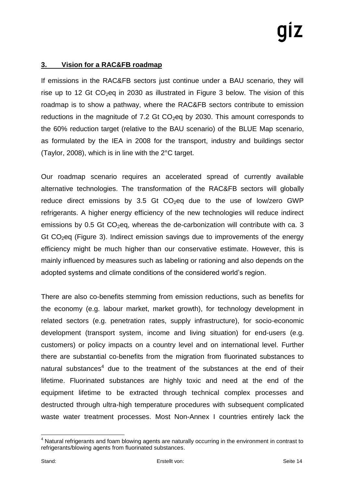### **3. Vision for a RAC&FB roadmap**

If emissions in the RAC&FB sectors just continue under a BAU scenario, they will rise up to 12 Gt  $CO<sub>2</sub>$ eq in 2030 as illustrated in Figure 3 below. The vision of this roadmap is to show a pathway, where the RAC&FB sectors contribute to emission reductions in the magnitude of 7.2 Gt  $CO<sub>2</sub>$ eq by 2030. This amount corresponds to the 60% reduction target (relative to the BAU scenario) of the BLUE Map scenario, as formulated by the IEA in 2008 for the transport, industry and buildings sector (Taylor, 2008), which is in line with the 2°C target.

Our roadmap scenario requires an accelerated spread of currently available alternative technologies. The transformation of the RAC&FB sectors will globally reduce direct emissions by 3.5 Gt  $CO<sub>2</sub>$ eq due to the use of low/zero GWP refrigerants. A higher energy efficiency of the new technologies will reduce indirect emissions by 0.5 Gt  $CO<sub>2</sub>$ eq, whereas the de-carbonization will contribute with ca. 3 Gt  $CO<sub>2</sub>$ eq (Figure 3). Indirect emission savings due to improvements of the energy efficiency might be much higher than our conservative estimate. However, this is mainly influenced by measures such as labeling or rationing and also depends on the adopted systems and climate conditions of the considered world's region.

There are also co-benefits stemming from emission reductions, such as benefits for the economy (e.g. labour market, market growth), for technology development in related sectors (e.g. penetration rates, supply infrastructure), for socio-economic development (transport system, income and living situation) for end-users (e.g. customers) or policy impacts on a country level and on international level. Further there are substantial co-benefits from the migration from fluorinated substances to natural substances<sup>4</sup> due to the treatment of the substances at the end of their lifetime. Fluorinated substances are highly toxic and need at the end of the equipment lifetime to be extracted through technical complex processes and destructed through ultra-high temperature procedures with subsequent complicated waste water treatment processes. Most Non-Annex I countries entirely lack the

 $4$  Natural refrigerants and foam blowing agents are naturally occurring in the environment in contrast to refrigerants/blowing agents from fluorinated substances.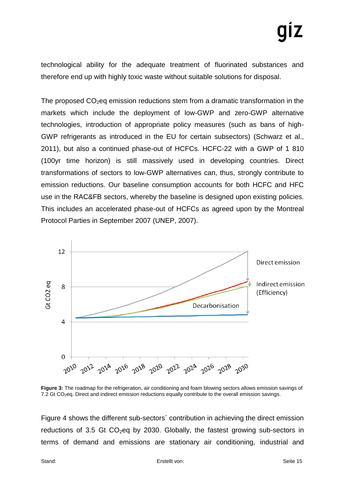technological ability for the adequate treatment of fluorinated substances and therefore end up with highly toxic waste without suitable solutions for disposal.

The proposed  $CO<sub>2</sub>$ eg emission reductions stem from a dramatic transformation in the markets which include the deployment of low-GWP and zero-GWP alternative technologies, introduction of appropriate policy measures (such as bans of high-GWP refrigerants as introduced in the EU for certain subsectors) (Schwarz et al., 2011), but also a continued phase-out of HCFCs. HCFC-22 with a GWP of 1 810 (100yr time horizon) is still massively used in developing countries. Direct transformations of sectors to low-GWP alternatives can, thus, strongly contribute to emission reductions. Our baseline consumption accounts for both HCFC and HFC use in the RAC&FB sectors, whereby the baseline is designed upon existing policies. This includes an accelerated phase-out of HCFCs as agreed upon by the Montreal Protocol Parties in September 2007 (UNEP, 2007).



**Figure 3:** The roadmap for the refrigeration, air conditioning and foam blowing sectors allows emission savings of 7.2 Gt CO<sub>2</sub>eq. Direct and indirect emission reductions equally contribute to the overall emission savings.

Figure 4 shows the different sub-sectors´ contribution in achieving the direct emission reductions of 3.5 Gt  $CO<sub>2</sub>$ eq by 2030. Globally, the fastest growing sub-sectors in terms of demand and emissions are stationary air conditioning, industrial and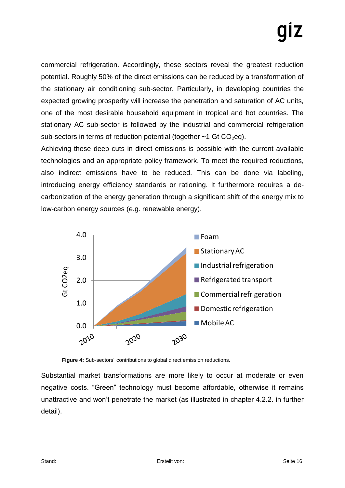commercial refrigeration. Accordingly, these sectors reveal the greatest reduction potential. Roughly 50% of the direct emissions can be reduced by a transformation of the stationary air conditioning sub-sector. Particularly, in developing countries the expected growing prosperity will increase the penetration and saturation of AC units, one of the most desirable household equipment in tropical and hot countries. The stationary AC sub-sector is followed by the industrial and commercial refrigeration sub-sectors in terms of reduction potential (together  $\sim$  1 Gt CO<sub>2</sub>eq).

Achieving these deep cuts in direct emissions is possible with the current available technologies and an appropriate policy framework. To meet the required reductions, also indirect emissions have to be reduced. This can be done via labeling, introducing energy efficiency standards or rationing. It furthermore requires a decarbonization of the energy generation through a significant shift of the energy mix to low-carbon energy sources (e.g. renewable energy).



**Figure 4:** Sub-sectors´ contributions to global direct emission reductions.

Substantial market transformations are more likely to occur at moderate or even negative costs. "Green" technology must become affordable, otherwise it remains unattractive and won't penetrate the market (as illustrated in chapter 4.2.2. in further detail).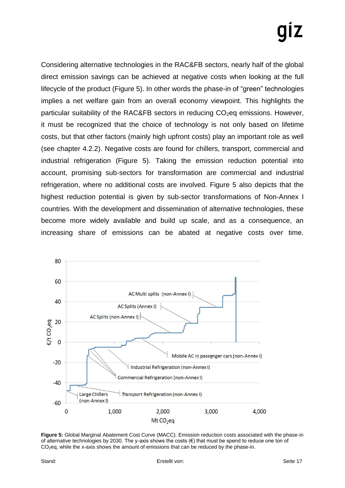Considering alternative technologies in the RAC&FB sectors, nearly half of the global direct emission savings can be achieved at negative costs when looking at the full lifecycle of the product (Figure 5). In other words the phase-in of "green" technologies implies a net welfare gain from an overall economy viewpoint. This highlights the particular suitability of the RAC&FB sectors in reducing  $CO<sub>2</sub>$ eq emissions. However, it must be recognized that the choice of technology is not only based on lifetime costs, but that other factors (mainly high upfront costs) play an important role as well (see chapter 4.2.2). Negative costs are found for chillers, transport, commercial and industrial refrigeration (Figure 5). Taking the emission reduction potential into account, promising sub-sectors for transformation are commercial and industrial refrigeration, where no additional costs are involved. Figure 5 also depicts that the highest reduction potential is given by sub-sector transformations of Non-Annex I countries. With the development and dissemination of alternative technologies, these become more widely available and build up scale, and as a consequence, an increasing share of emissions can be abated at negative costs over time.



**Figure 5:** Global Marginal Abatement Cost Curve (MACC). Emission reduction costs associated with the phase-in of alternative technologies by 2030. The y-axis shows the costs  $(\epsilon)$  that must be spend to reduce one ton of CO2eq, while the x-axis shows the amount of emissions that can be reduced by the phase-in.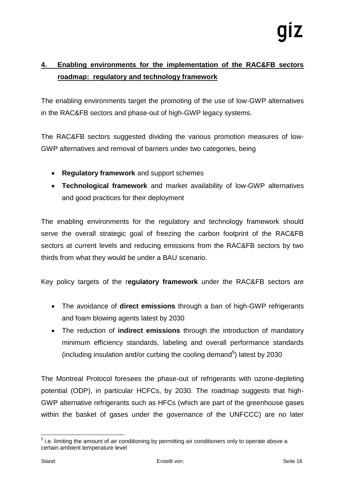### **4. Enabling environments for the implementation of the RAC&FB sectors roadmap: regulatory and technology framework**

The enabling environments target the promoting of the use of low-GWP alternatives in the RAC&FB sectors and phase-out of high-GWP legacy systems.

The RAC&FB sectors suggested dividing the various promotion measures of low-GWP alternatives and removal of barriers under two categories, being

- **Regulatory framework** and support schemes
- **Technological framework** and market availability of low-GWP alternatives and good practices for their deployment

The enabling environments for the regulatory and technology framework should serve the overall strategic goal of freezing the carbon footprint of the RAC&FB sectors at current levels and reducing emissions from the RAC&FB sectors by two thirds from what they would be under a BAU scenario.

Key policy targets of the r**egulatory framework** under the RAC&FB sectors are

- The avoidance of **direct emissions** through a ban of high-GWP refrigerants and foam blowing agents latest by 2030
- The reduction of **indirect emissions** through the introduction of mandatory minimum efficiency standards, labeling and overall performance standards (including insulation and/or curbing the cooling demand $5$ ) latest by 2030

The Montreal Protocol foresees the phase-out of refrigerants with ozone-depleting potential (ODP), in particular HCFCs, by 2030. The roadmap suggests that high-GWP alternative refrigerants such as HFCs (which are part of the greenhouse gases within the basket of gases under the governance of the UNFCCC) are no later

  $5$  i.e. limiting the amount of air conditioning by permitting air conditioners only to operate above a certain ambient temperature level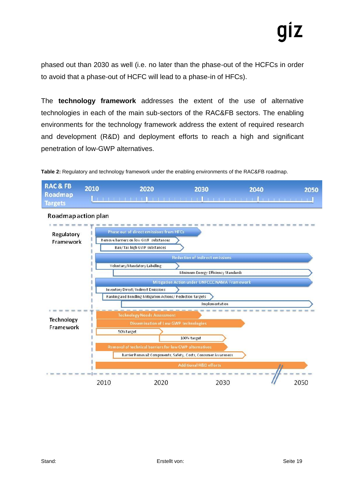phased out than 2030 as well (i.e. no later than the phase-out of the HCFCs in order to avoid that a phase-out of HCFC will lead to a phase-in of HFCs).

The **technology framework** addresses the extent of the use of alternative technologies in each of the main sub-sectors of the RAC&FB sectors. The enabling environments for the technology framework address the extent of required research and development (R&D) and deployment efforts to reach a high and significant penetration of low-GWP alternatives.



**Table 2:** Regulatory and technology framework under the enabling environments of the RAC&FB roadmap.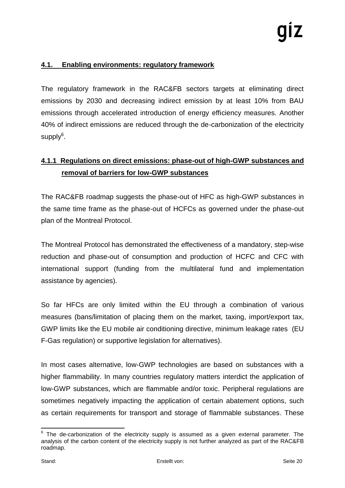### **4.1. Enabling environments: regulatory framework**

The regulatory framework in the RAC&FB sectors targets at eliminating direct emissions by 2030 and decreasing indirect emission by at least 10% from BAU emissions through accelerated introduction of energy efficiency measures. Another 40% of indirect emissions are reduced through the de-carbonization of the electricity supply $^6$ .

### **4.1.1 Regulations on direct emissions: phase-out of high-GWP substances and removal of barriers for low-GWP substances**

The RAC&FB roadmap suggests the phase-out of HFC as high-GWP substances in the same time frame as the phase-out of HCFCs as governed under the phase-out plan of the Montreal Protocol.

The Montreal Protocol has demonstrated the effectiveness of a mandatory, step-wise reduction and phase-out of consumption and production of HCFC and CFC with international support (funding from the multilateral fund and implementation assistance by agencies).

So far HFCs are only limited within the EU through a combination of various measures (bans/limitation of placing them on the market, taxing, import/export tax, GWP limits like the EU mobile air conditioning directive, minimum leakage rates (EU F-Gas regulation) or supportive legislation for alternatives).

In most cases alternative, low-GWP technologies are based on substances with a higher flammability. In many countries regulatory matters interdict the application of low-GWP substances, which are flammable and/or toxic. Peripheral regulations are sometimes negatively impacting the application of certain abatement options, such as certain requirements for transport and storage of flammable substances. These

  $6$  The de-carbonization of the electricity supply is assumed as a given external parameter. The analysis of the carbon content of the electricity supply is not further analyzed as part of the RAC&FB roadmap.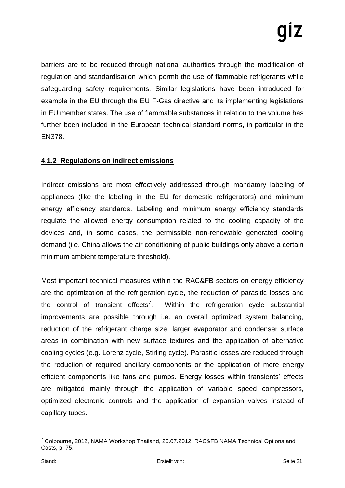barriers are to be reduced through national authorities through the modification of regulation and standardisation which permit the use of flammable refrigerants while safeguarding safety requirements. Similar legislations have been introduced for example in the EU through the EU F-Gas directive and its implementing legislations in EU member states. The use of flammable substances in relation to the volume has further been included in the European technical standard norms, in particular in the EN378.

### **4.1.2 Regulations on indirect emissions**

Indirect emissions are most effectively addressed through mandatory labeling of appliances (like the labeling in the EU for domestic refrigerators) and minimum energy efficiency standards. Labeling and minimum energy efficiency standards regulate the allowed energy consumption related to the cooling capacity of the devices and, in some cases, the permissible non-renewable generated cooling demand (i.e. China allows the air conditioning of public buildings only above a certain minimum ambient temperature threshold).

Most important technical measures within the RAC&FB sectors on energy efficiency are the optimization of the refrigeration cycle, the reduction of parasitic losses and the control of transient effects<sup>7</sup>. Within the refrigeration cycle substantial improvements are possible through i.e. an overall optimized system balancing, reduction of the refrigerant charge size, larger evaporator and condenser surface areas in combination with new surface textures and the application of alternative cooling cycles (e.g. Lorenz cycle, Stirling cycle). Parasitic losses are reduced through the reduction of required ancillary components or the application of more energy efficient components like fans and pumps. Energy losses within transients' effects are mitigated mainly through the application of variable speed compressors, optimized electronic controls and the application of expansion valves instead of capillary tubes.

  $^7$  Colbourne, 2012, NAMA Workshop Thailand, 26.07.2012, RAC&FB NAMA Technical Options and Costs, p. 75.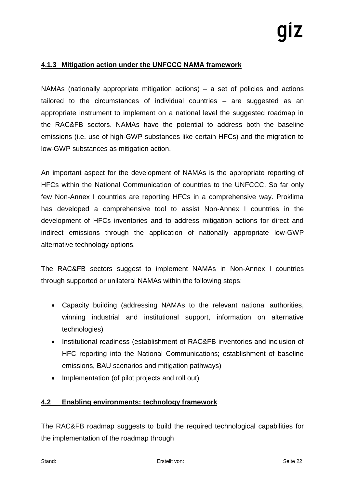### **4.1.3 Mitigation action under the UNFCCC NAMA framework**

NAMAs (nationally appropriate mitigation actions) – a set of policies and actions tailored to the circumstances of individual countries – are suggested as an appropriate instrument to implement on a national level the suggested roadmap in the RAC&FB sectors. NAMAs have the potential to address both the baseline emissions (i.e. use of high-GWP substances like certain HFCs) and the migration to low-GWP substances as mitigation action.

An important aspect for the development of NAMAs is the appropriate reporting of HFCs within the National Communication of countries to the UNFCCC. So far only few Non-Annex I countries are reporting HFCs in a comprehensive way. Proklima has developed a comprehensive tool to assist Non-Annex I countries in the development of HFCs inventories and to address mitigation actions for direct and indirect emissions through the application of nationally appropriate low-GWP alternative technology options.

The RAC&FB sectors suggest to implement NAMAs in Non-Annex I countries through supported or unilateral NAMAs within the following steps:

- Capacity building (addressing NAMAs to the relevant national authorities, winning industrial and institutional support, information on alternative technologies)
- Institutional readiness (establishment of RAC&FB inventories and inclusion of HFC reporting into the National Communications; establishment of baseline emissions, BAU scenarios and mitigation pathways)
- Implementation (of pilot projects and roll out)

### **4.2 Enabling environments: technology framework**

The RAC&FB roadmap suggests to build the required technological capabilities for the implementation of the roadmap through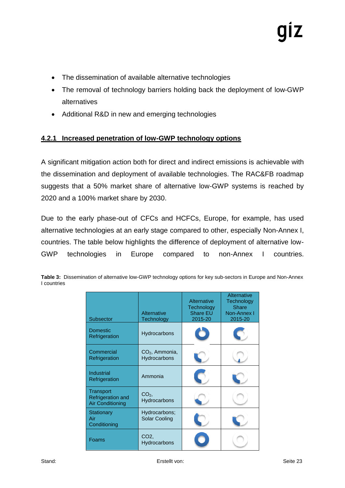- The dissemination of available alternative technologies
- The removal of technology barriers holding back the deployment of low-GWP alternatives
- Additional R&D in new and emerging technologies

### **4.2.1 Increased penetration of low-GWP technology options**

A significant mitigation action both for direct and indirect emissions is achievable with the dissemination and deployment of available technologies. The RAC&FB roadmap suggests that a 50% market share of alternative low-GWP systems is reached by 2020 and a 100% market share by 2030.

Due to the early phase-out of CFCs and HCFCs, Europe, for example, has used alternative technologies at an early stage compared to other, especially Non-Annex I, countries. The table below highlights the difference of deployment of alternative low-GWP technologies in Europe compared to non-Annex I countries.

|             | Table 3: Dissemination of alternative low-GWP technology options for key sub-sectors in Europe and Non-Annex |
|-------------|--------------------------------------------------------------------------------------------------------------|
| I countries |                                                                                                              |

| <b>Subsector</b>                                          | Alternative<br>Technology             | Alternative<br>Technology<br><b>Share EU</b><br>2015-20 | Alternative<br><b>Technology</b><br><b>Share</b><br>Non-Annex I<br>2015-20 |
|-----------------------------------------------------------|---------------------------------------|---------------------------------------------------------|----------------------------------------------------------------------------|
| <b>Domestic</b><br>Refrigeration                          | Hydrocarbons                          |                                                         |                                                                            |
| Commercial<br>Refrigeration                               | $CO2$ , Ammonia,<br>Hydrocarbons      |                                                         |                                                                            |
| <b>Industrial</b><br>Refrigeration                        | Ammonia                               |                                                         |                                                                            |
| Transport<br>Refrigeration and<br><b>Air Conditioning</b> | CO <sub>2</sub><br>Hydrocarbons       |                                                         |                                                                            |
| Stationary<br>Air<br>Conditioning                         | Hydrocarbons;<br><b>Solar Cooling</b> |                                                         |                                                                            |
| Foams                                                     | CO <sub>2</sub> ,<br>Hydrocarbons     |                                                         |                                                                            |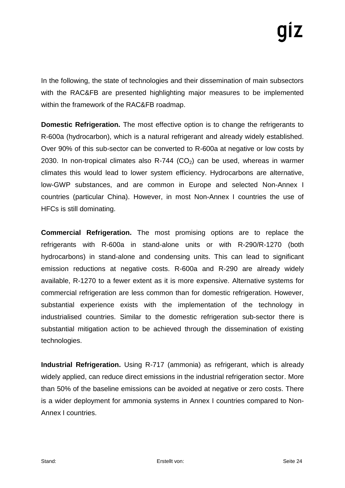In the following, the state of technologies and their dissemination of main subsectors with the RAC&FB are presented highlighting major measures to be implemented within the framework of the RAC&FB roadmap.

**Domestic Refrigeration.** The most effective option is to change the refrigerants to R-600a (hydrocarbon), which is a natural refrigerant and already widely established. Over 90% of this sub-sector can be converted to R-600a at negative or low costs by 2030. In non-tropical climates also R-744 ( $CO<sub>2</sub>$ ) can be used, whereas in warmer climates this would lead to lower system efficiency. Hydrocarbons are alternative, low-GWP substances, and are common in Europe and selected Non-Annex I countries (particular China). However, in most Non-Annex I countries the use of HFCs is still dominating.

**Commercial Refrigeration.** The most promising options are to replace the refrigerants with R-600a in stand-alone units or with R-290/R-1270 (both hydrocarbons) in stand-alone and condensing units. This can lead to significant emission reductions at negative costs. R-600a and R-290 are already widely available, R-1270 to a fewer extent as it is more expensive. Alternative systems for commercial refrigeration are less common than for domestic refrigeration. However, substantial experience exists with the implementation of the technology in industrialised countries. Similar to the domestic refrigeration sub-sector there is substantial mitigation action to be achieved through the dissemination of existing technologies.

**Industrial Refrigeration.** Using R-717 (ammonia) as refrigerant, which is already widely applied, can reduce direct emissions in the industrial refrigeration sector. More than 50% of the baseline emissions can be avoided at negative or zero costs. There is a wider deployment for ammonia systems in Annex I countries compared to Non-Annex I countries.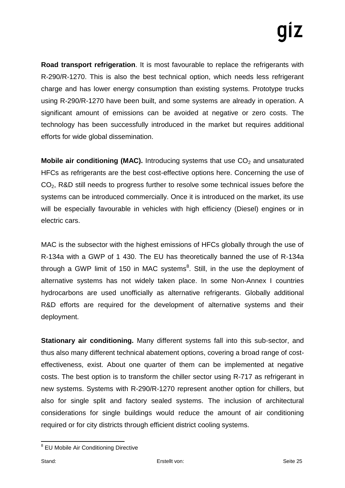**Road transport refrigeration**. It is most favourable to replace the refrigerants with R-290/R-1270. This is also the best technical option, which needs less refrigerant charge and has lower energy consumption than existing systems. Prototype trucks using R-290/R-1270 have been built, and some systems are already in operation. A significant amount of emissions can be avoided at negative or zero costs. The technology has been successfully introduced in the market but requires additional efforts for wide global dissemination.

**Mobile air conditioning (MAC).** Introducing systems that use CO<sub>2</sub> and unsaturated HFCs as refrigerants are the best cost-effective options here. Concerning the use of CO2, R&D still needs to progress further to resolve some technical issues before the systems can be introduced commercially. Once it is introduced on the market, its use will be especially favourable in vehicles with high efficiency (Diesel) engines or in electric cars.

MAC is the subsector with the highest emissions of HFCs globally through the use of R-134a with a GWP of 1 430. The EU has theoretically banned the use of R-134a through a GWP limit of 150 in MAC systems $^8$ . Still, in the use the deployment of alternative systems has not widely taken place. In some Non-Annex I countries hydrocarbons are used unofficially as alternative refrigerants. Globally additional R&D efforts are required for the development of alternative systems and their deployment.

**Stationary air conditioning.** Many different systems fall into this sub-sector, and thus also many different technical abatement options, covering a broad range of costeffectiveness, exist. About one quarter of them can be implemented at negative costs. The best option is to transform the chiller sector using R-717 as refrigerant in new systems. Systems with R-290/R-1270 represent another option for chillers, but also for single split and factory sealed systems. The inclusion of architectural considerations for single buildings would reduce the amount of air conditioning required or for city districts through efficient district cooling systems.

 8 EU Mobile Air Conditioning Directive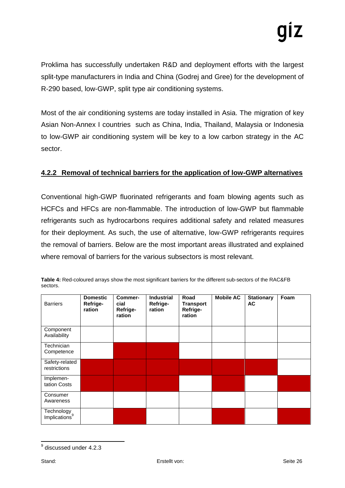Proklima has successfully undertaken R&D and deployment efforts with the largest split-type manufacturers in India and China (Godrej and Gree) for the development of R-290 based, low-GWP, split type air conditioning systems.

Most of the air conditioning systems are today installed in Asia. The migration of key Asian Non-Annex I countries such as China, India, Thailand, Malaysia or Indonesia to low-GWP air conditioning system will be key to a low carbon strategy in the AC sector.

### **4.2.2 Removal of technical barriers for the application of low-GWP alternatives**

Conventional high-GWP fluorinated refrigerants and foam blowing agents such as HCFCs and HFCs are non-flammable. The introduction of low-GWP but flammable refrigerants such as hydrocarbons requires additional safety and related measures for their deployment. As such, the use of alternative, low-GWP refrigerants requires the removal of barriers. Below are the most important areas illustrated and explained where removal of barriers for the various subsectors is most relevant.

| <b>Barriers</b>                         | <b>Domestic</b><br>Refrige-<br>ration | Commer-<br>cial<br>Refrige-<br>ration | <b>Industrial</b><br>Refrige-<br>ration | Road<br><b>Transport</b><br>Refrige-<br>ration | <b>Mobile AC</b> | <b>Stationary</b><br>AC | Foam |
|-----------------------------------------|---------------------------------------|---------------------------------------|-----------------------------------------|------------------------------------------------|------------------|-------------------------|------|
| Component<br>Availability               |                                       |                                       |                                         |                                                |                  |                         |      |
| Technician<br>Competence                |                                       |                                       |                                         |                                                |                  |                         |      |
| Safety-related<br>restrictions          |                                       |                                       |                                         |                                                |                  |                         |      |
| Implemen-<br>tation Costs               |                                       |                                       |                                         |                                                |                  |                         |      |
| Consumer<br>Awareness                   |                                       |                                       |                                         |                                                |                  |                         |      |
| Technology<br>Implications <sup>9</sup> |                                       |                                       |                                         |                                                |                  |                         |      |

**Table 4:** Red-coloured arrays show the most significant barriers for the different sub-sectors of the RAC&FB sectors.

 9 discussed under 4.2.3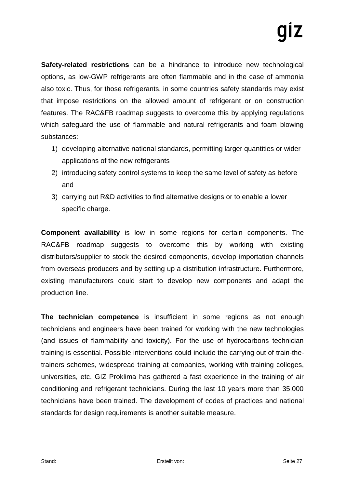**Safety-related restrictions** can be a hindrance to introduce new technological options, as low-GWP refrigerants are often flammable and in the case of ammonia also toxic. Thus, for those refrigerants, in some countries safety standards may exist that impose restrictions on the allowed amount of refrigerant or on construction features. The RAC&FB roadmap suggests to overcome this by applying regulations which safeguard the use of flammable and natural refrigerants and foam blowing substances:

- 1) developing alternative national standards, permitting larger quantities or wider applications of the new refrigerants
- 2) introducing safety control systems to keep the same level of safety as before and
- 3) carrying out R&D activities to find alternative designs or to enable a lower specific charge.

**Component availability** is low in some regions for certain components. The RAC&FB roadmap suggests to overcome this by working with existing distributors/supplier to stock the desired components, develop importation channels from overseas producers and by setting up a distribution infrastructure. Furthermore, existing manufacturers could start to develop new components and adapt the production line.

**The technician competence** is insufficient in some regions as not enough technicians and engineers have been trained for working with the new technologies (and issues of flammability and toxicity). For the use of hydrocarbons technician training is essential. Possible interventions could include the carrying out of train-thetrainers schemes, widespread training at companies, working with training colleges, universities, etc. GIZ Proklima has gathered a fast experience in the training of air conditioning and refrigerant technicians. During the last 10 years more than 35,000 technicians have been trained. The development of codes of practices and national standards for design requirements is another suitable measure.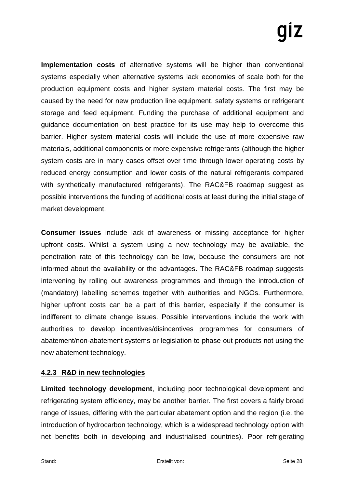**Implementation costs** of alternative systems will be higher than conventional systems especially when alternative systems lack economies of scale both for the production equipment costs and higher system material costs. The first may be caused by the need for new production line equipment, safety systems or refrigerant storage and feed equipment. Funding the purchase of additional equipment and guidance documentation on best practice for its use may help to overcome this barrier. Higher system material costs will include the use of more expensive raw materials, additional components or more expensive refrigerants (although the higher system costs are in many cases offset over time through lower operating costs by reduced energy consumption and lower costs of the natural refrigerants compared with synthetically manufactured refrigerants). The RAC&FB roadmap suggest as possible interventions the funding of additional costs at least during the initial stage of market development.

**Consumer issues** include lack of awareness or missing acceptance for higher upfront costs. Whilst a system using a new technology may be available, the penetration rate of this technology can be low, because the consumers are not informed about the availability or the advantages. The RAC&FB roadmap suggests intervening by rolling out awareness programmes and through the introduction of (mandatory) labelling schemes together with authorities and NGOs. Furthermore, higher upfront costs can be a part of this barrier, especially if the consumer is indifferent to climate change issues. Possible interventions include the work with authorities to develop incentives/disincentives programmes for consumers of abatement/non-abatement systems or legislation to phase out products not using the new abatement technology.

### **4.2.3 R&D in new technologies**

**Limited technology development**, including poor technological development and refrigerating system efficiency, may be another barrier. The first covers a fairly broad range of issues, differing with the particular abatement option and the region (i.e. the introduction of hydrocarbon technology, which is a widespread technology option with net benefits both in developing and industrialised countries). Poor refrigerating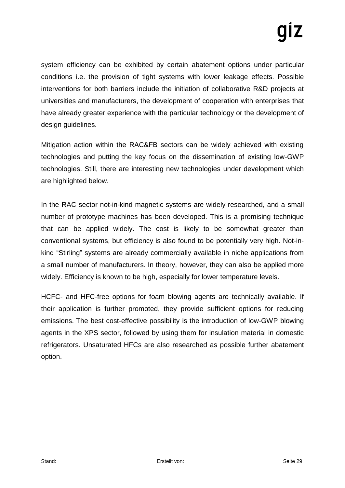system efficiency can be exhibited by certain abatement options under particular conditions i.e. the provision of tight systems with lower leakage effects. Possible interventions for both barriers include the initiation of collaborative R&D projects at universities and manufacturers, the development of cooperation with enterprises that have already greater experience with the particular technology or the development of design guidelines.

Mitigation action within the RAC&FB sectors can be widely achieved with existing technologies and putting the key focus on the dissemination of existing low-GWP technologies. Still, there are interesting new technologies under development which are highlighted below.

In the RAC sector not-in-kind magnetic systems are widely researched, and a small number of prototype machines has been developed. This is a promising technique that can be applied widely. The cost is likely to be somewhat greater than conventional systems, but efficiency is also found to be potentially very high. Not-inkind "Stirling" systems are already commercially available in niche applications from a small number of manufacturers. In theory, however, they can also be applied more widely. Efficiency is known to be high, especially for lower temperature levels.

HCFC- and HFC-free options for foam blowing agents are technically available. If their application is further promoted, they provide sufficient options for reducing emissions. The best cost-effective possibility is the introduction of low-GWP blowing agents in the XPS sector, followed by using them for insulation material in domestic refrigerators. Unsaturated HFCs are also researched as possible further abatement option.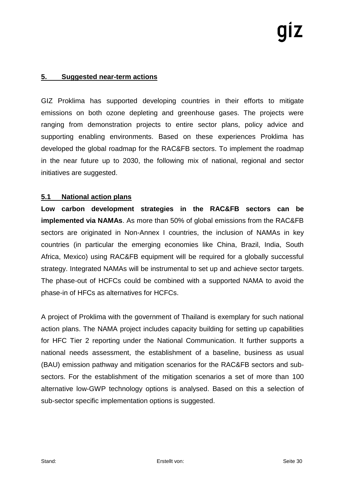### **5. Suggested near-term actions**

GIZ Proklima has supported developing countries in their efforts to mitigate emissions on both ozone depleting and greenhouse gases. The projects were ranging from demonstration projects to entire sector plans, policy advice and supporting enabling environments. Based on these experiences Proklima has developed the global roadmap for the RAC&FB sectors. To implement the roadmap in the near future up to 2030, the following mix of national, regional and sector initiatives are suggested.

### **5.1 National action plans**

**Low carbon development strategies in the RAC&FB sectors can be implemented via NAMAs**. As more than 50% of global emissions from the RAC&FB sectors are originated in Non-Annex I countries, the inclusion of NAMAs in key countries (in particular the emerging economies like China, Brazil, India, South Africa, Mexico) using RAC&FB equipment will be required for a globally successful strategy. Integrated NAMAs will be instrumental to set up and achieve sector targets. The phase-out of HCFCs could be combined with a supported NAMA to avoid the phase-in of HFCs as alternatives for HCFCs.

A project of Proklima with the government of Thailand is exemplary for such national action plans. The NAMA project includes capacity building for setting up capabilities for HFC Tier 2 reporting under the National Communication. It further supports a national needs assessment, the establishment of a baseline, business as usual (BAU) emission pathway and mitigation scenarios for the RAC&FB sectors and subsectors. For the establishment of the mitigation scenarios a set of more than 100 alternative low-GWP technology options is analysed. Based on this a selection of sub-sector specific implementation options is suggested.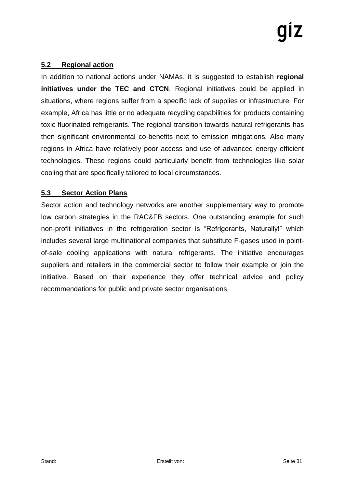### **5.2 Regional action**

In addition to national actions under NAMAs, it is suggested to establish **regional initiatives under the TEC and CTCN.** Regional initiatives could be applied in situations, where regions suffer from a specific lack of supplies or infrastructure. For example, Africa has little or no adequate recycling capabilities for products containing toxic fluorinated refrigerants. The regional transition towards natural refrigerants has then significant environmental co-benefits next to emission mitigations. Also many regions in Africa have relatively poor access and use of advanced energy efficient technologies. These regions could particularly benefit from technologies like solar cooling that are specifically tailored to local circumstances.

### **5.3 Sector Action Plans**

Sector action and technology networks are another supplementary way to promote low carbon strategies in the RAC&FB sectors. One outstanding example for such non-profit initiatives in the refrigeration sector is "Refrigerants, Naturally!" which includes several large multinational companies that substitute F-gases used in pointof-sale cooling applications with natural refrigerants. The initiative encourages suppliers and retailers in the commercial sector to follow their example or join the initiative. Based on their experience they offer technical advice and policy recommendations for public and private sector organisations.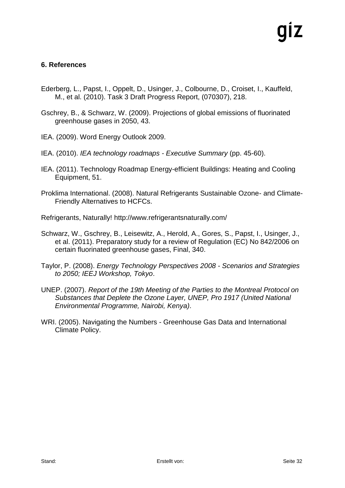### **6. References**

- Ederberg, L., Papst, I., Oppelt, D., Usinger, J., Colbourne, D., Croiset, I., Kauffeld, M., et al. (2010). Task 3 Draft Progress Report, (070307), 218.
- Gschrey, B., & Schwarz, W. (2009). Projections of global emissions of fluorinated greenhouse gases in 2050, 43.
- IEA. (2009). Word Energy Outlook 2009.
- IEA. (2010). *IEA technology roadmaps - Executive Summary* (pp. 45-60).
- IEA. (2011). Technology Roadmap Energy-efficient Buildings: Heating and Cooling Equipment, 51.
- Proklima International. (2008). Natural Refrigerants Sustainable Ozone- and Climate-Friendly Alternatives to HCFCs.
- Refrigerants, Naturally! http://www.refrigerantsnaturally.com/
- Schwarz, W., Gschrey, B., Leisewitz, A., Herold, A., Gores, S., Papst, I., Usinger, J., et al. (2011). Preparatory study for a review of Regulation (EC) No 842/2006 on certain fluorinated greenhouse gases, Final, 340.
- Taylor, P. (2008). *Energy Technology Perspectives 2008 - Scenarios and Strategies to 2050; IEEJ Workshop, Tokyo*.
- UNEP. (2007). *Report of the 19th Meeting of the Parties to the Montreal Protocol on Substances that Deplete the Ozone Layer, UNEP, Pro 1917 (United National Environmental Programme, Nairobi, Kenya)*.
- WRI. (2005). Navigating the Numbers Greenhouse Gas Data and International Climate Policy.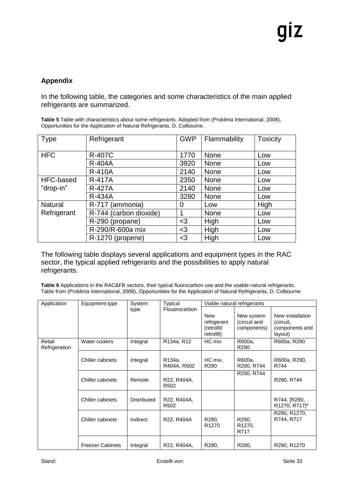### **Appendix**

In the following table, the categories and some characteristics of the main applied refrigerants are summarized.

**Table 5** Table with characteristics about some refrigerants. Adopted from (Proklima International, 2008), Opportunities for the Application of Natural Refrigerants, D. Colbourne.

| Type           | Refrigerant            | <b>GWP</b> | Flammability | <b>Toxicity</b> |
|----------------|------------------------|------------|--------------|-----------------|
| <b>HFC</b>     | <b>R-407C</b>          | 1770       | <b>None</b>  | Low             |
|                | <b>R-404A</b>          | 3920       | <b>None</b>  | Low             |
|                | <b>R-410A</b>          | 2140       | <b>None</b>  | Low             |
| HFC-based      | <b>R-417A</b>          | 2350       | <b>None</b>  | Low             |
| "drop-in"      | <b>R-427A</b>          | 2140       | <b>None</b>  | Low             |
|                | <b>R-434A</b>          | 3280       | <b>None</b>  | Low             |
| <b>Natural</b> | R-717 (ammonia)        | 0          | Low          | High            |
| Refrigerant    | R-744 (carbon dioxide) |            | <b>None</b>  | Low             |
|                | R-290 (propane)        | $3$        | High         | Low             |
|                | R-290/R-600a mix       | $3$        | High         | Low             |
|                | R-1270 (propene)       | $<$ 3      | High         | Low             |

The following table displays several applications and equipment types in the RAC sector, the typical applied refrigerants and the possibilities to apply natural refrigerants.

**Table 6** Applications in the RAC&FB sectors, their typical fluorocarbon use and the usable natural refrigerants. Table from (Proklima International, 2008), Opportunities for the Application of Natural Refrigerants, D. Colbourne.

| Application             | Equipment type          | System             | Typical                             |                   | Viable natural refrigerants |                  |
|-------------------------|-------------------------|--------------------|-------------------------------------|-------------------|-----------------------------|------------------|
|                         |                         | type               | Flouorocarbon                       |                   |                             |                  |
|                         |                         |                    |                                     | <b>New</b>        | New system                  | New installation |
|                         |                         |                    |                                     | refrigerant       | (circuit and                | (circuit,        |
|                         |                         |                    |                                     | (retrofit/        | components)                 | components and   |
|                         |                         |                    |                                     | retrofill)        |                             | layout)          |
| Retail<br>Refrigeration | Water coolers           | Integral           | R <sub>134a</sub> , R <sub>12</sub> | HC mix            | R600a,<br>R <sub>290</sub>  | R600a, R290      |
|                         |                         |                    |                                     |                   |                             |                  |
|                         | Chiller cabinets        | Integral           | R134a,                              | HC mix,           | R600a,                      | R600a, R290,     |
|                         |                         |                    | R404A, R502                         | R <sub>290</sub>  | R290, R744                  | R744             |
|                         |                         |                    |                                     |                   | R290, R744                  |                  |
|                         | Chiller cabinets        | Remote             | R22, R404A,                         |                   |                             | R290, R744       |
|                         |                         |                    | R <sub>502</sub>                    |                   |                             |                  |
|                         |                         |                    |                                     |                   |                             |                  |
|                         | Chiller cabinets        | <b>Distributed</b> | R22, R404A,                         |                   |                             | R744, [R290,     |
|                         |                         |                    | R <sub>502</sub>                    |                   |                             | R1270, R717]*    |
|                         |                         |                    |                                     |                   |                             | R290, R1270,     |
|                         | Chiller cabinets        | Indirect           | R22, R404A                          | R <sub>290</sub>  | R <sub>290</sub>            | R744, R717       |
|                         |                         |                    |                                     | R <sub>1270</sub> | R1270,                      |                  |
|                         |                         |                    |                                     |                   | R717                        |                  |
|                         |                         |                    |                                     |                   |                             |                  |
|                         | <b>Freezer Cabinets</b> | Integral           | R22, R404A,                         | R290,             | R <sub>290</sub>            | R290, R1270      |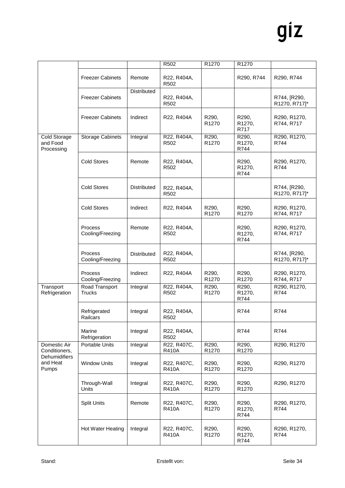|                                                                     |                                    |                    | R502                            | R1270                      | R1270                                |                               |
|---------------------------------------------------------------------|------------------------------------|--------------------|---------------------------------|----------------------------|--------------------------------------|-------------------------------|
|                                                                     | <b>Freezer Cabinets</b>            | Remote             | R22, R404A,<br>R502             |                            | R290, R744                           | R290, R744                    |
|                                                                     | <b>Freezer Cabinets</b>            | Distributed        | R22, R404A,<br>R <sub>502</sub> |                            |                                      | R744, [R290,<br>R1270, R717]* |
|                                                                     | <b>Freezer Cabinets</b>            | Indirect           | R22, R404A                      | R290,<br>R <sub>1270</sub> | R290,<br>R1270,<br>R717              | R290, R1270,<br>R744, R717    |
| <b>Cold Storage</b><br>and Food<br>Processing                       | Storage Cabinets                   | Integral           | R22, R404A,<br>R502             | R290,<br>R1270             | R290,<br>R1270,<br>R744              | R290, R1270,<br>R744          |
|                                                                     | <b>Cold Stores</b>                 | Remote             | R22, R404A,<br>R502             |                            | R <sub>290</sub> ,<br>R1270,<br>R744 | R290, R1270,<br>R744          |
|                                                                     | <b>Cold Stores</b>                 | <b>Distributed</b> | R22, R404A,<br>R502             |                            |                                      | R744, [R290,<br>R1270, R717]* |
|                                                                     | <b>Cold Stores</b>                 | Indirect           | R22, R404A                      | R290,<br>R1270             | R290,<br>R1270                       | R290, R1270,<br>R744, R717    |
|                                                                     | Process<br>Cooling/Freezing        | Remote             | R22, R404A,<br>R502             |                            | R <sub>290</sub> ,<br>R1270,<br>R744 | R290, R1270,<br>R744, R717    |
|                                                                     | <b>Process</b><br>Cooling/Freezing | <b>Distributed</b> | R22, R404A,<br>R <sub>502</sub> |                            |                                      | R744, [R290,<br>R1270, R717]* |
|                                                                     | Process<br>Cooling/Freezing        | Indirect           | R22, R404A                      | R290,<br>R1270             | R290,<br>R1270                       | R290, R1270,<br>R744, R717    |
| Transport<br>Refrigeration                                          | Road Transport<br><b>Trucks</b>    | Integral           | R22, R404A,<br>R502             | R290,<br>R1270             | R290,<br>R1270,<br>R744              | R290, R1270,<br>R744          |
|                                                                     | Refrigerated<br>Railcars           | Integral           | R22, R404A,<br>R502             |                            | R744                                 | R744                          |
|                                                                     | Marine<br>Refrigeration            | Integral           | R22, R404A,<br>R502             |                            | R744                                 | R744                          |
| Domestic Air<br>Conditioners,<br>Dehumidifiers<br>and Heat<br>Pumps | Portable Units                     | Integral           | R22, R407C,<br><b>R410A</b>     | R290,<br>R1270             | R290,<br>R1270                       | R290, R1270                   |
|                                                                     | <b>Window Units</b>                | Integral           | R22, R407C,<br>R410A            | R290,<br>R1270             | R290,<br>R1270                       | R290, R1270                   |
|                                                                     | Through-Wall<br>Units              | Integral           | R22, R407C,<br><b>R410A</b>     | R290,<br>R1270             | R290,<br>R1270                       | R290, R1270                   |
|                                                                     | <b>Split Units</b>                 | Remote             | R22, R407C,<br><b>R410A</b>     | R290,<br>R1270             | R <sub>290</sub><br>R1270,<br>R744   | R290, R1270,<br>R744          |
|                                                                     | Hot Water Heating                  | Integral           | R22, R407C,<br><b>R410A</b>     | R290,<br>R1270             | R <sub>290</sub><br>R1270,<br>R744   | R290, R1270,<br>R744          |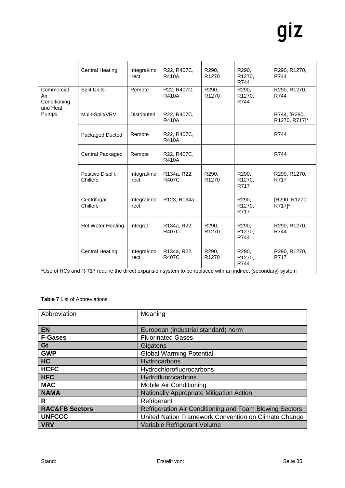| Integral/Ind<br><b>Central Heating</b><br>R22, R407C,<br>R290,<br>R290,<br>R290, R1270,<br>R <sub>1270</sub><br><b>R410A</b><br>R1270,<br>R744<br>irect<br>R744                                        |  |  |  |  |  |
|--------------------------------------------------------------------------------------------------------------------------------------------------------------------------------------------------------|--|--|--|--|--|
| Commercial<br><b>Split Units</b><br>R22, R407C,<br>R290, R1270,<br>Remote<br>R290,<br>R290,<br>R <sub>1270</sub><br>R1270,<br><b>R410A</b><br>R744<br>Air<br>R744<br>Conditioning                      |  |  |  |  |  |
| and Heat<br><b>Pumps</b><br>Mulit-Split/VRV<br><b>Distributed</b><br>R22, R407C.<br>R744, [R290,<br>R1270, R717]*<br><b>R410A</b>                                                                      |  |  |  |  |  |
| R22, R407C,<br>R744<br>Remote<br>Packaged Ducted<br><b>R410A</b>                                                                                                                                       |  |  |  |  |  |
| Central Packaged<br>Remote<br>R22, R407C,<br>R744<br><b>R410A</b>                                                                                                                                      |  |  |  |  |  |
| Positive Displ't<br>Integral/Ind<br>R290,<br>R290,<br>R <sub>134a</sub> , R <sub>22</sub> ,<br>R290, R1270,<br><b>R407C</b><br>R <sub>1270</sub><br>R1270,<br><b>Chillers</b><br>R717<br>irect<br>R717 |  |  |  |  |  |
| Centrifugal<br>Integral/Ind<br>R123, R134a<br>R290,<br>[R290, R1270,<br><b>Chillers</b><br>R717 <sup>*</sup><br>irect<br>R1270,<br>R717                                                                |  |  |  |  |  |
| Hot Water Heating<br>R290,<br>Integral<br>R134a, R22,<br>R <sub>290</sub><br>R290, R1270,<br><b>R407C</b><br>R <sub>1270</sub><br>R1270,<br>R744<br>R744                                               |  |  |  |  |  |
| <b>Central Heating</b><br>R290,<br>Integral/Ind<br>R134a, R22,<br>R290,<br>R290, R1270,<br><b>R407C</b><br>R <sub>1270</sub><br>R717<br>irect<br>R1270,<br>R744                                        |  |  |  |  |  |
| *Use of HCs and R-717 require the direct expansion system to be replaced with an indirect (secondary) system                                                                                           |  |  |  |  |  |

### **Table 7** List of Abbreviations

| Abbreviation              | Meaning                                                 |
|---------------------------|---------------------------------------------------------|
|                           |                                                         |
| <b>EN</b>                 | European (industrial standard) norm                     |
| <b>F-Gases</b>            | <b>Fluorinated Gases</b>                                |
| Gt                        | Gigatons                                                |
| <b>GWP</b>                | <b>Global Warming Potential</b>                         |
| HC                        | Hydrocarbons                                            |
| <b>HCFC</b>               | Hydrochlorofluorocarbons                                |
| <b>HFC</b>                | Hydrofluorocarbons                                      |
| <b>MAC</b>                | Mobile Air Conditioning                                 |
| <b>NAMA</b>               | Nationally Appropriate Mitigation Action                |
| R                         | Refrigerant                                             |
| <b>RAC&amp;FB Sectors</b> | Refrigeration Air Conditioning and Foam Blowing Sectors |
| <b>UNFCCC</b>             | United Nation Framework Convention on Climate Change    |
| <b>VRV</b>                | Variable Refrigerant Volume                             |